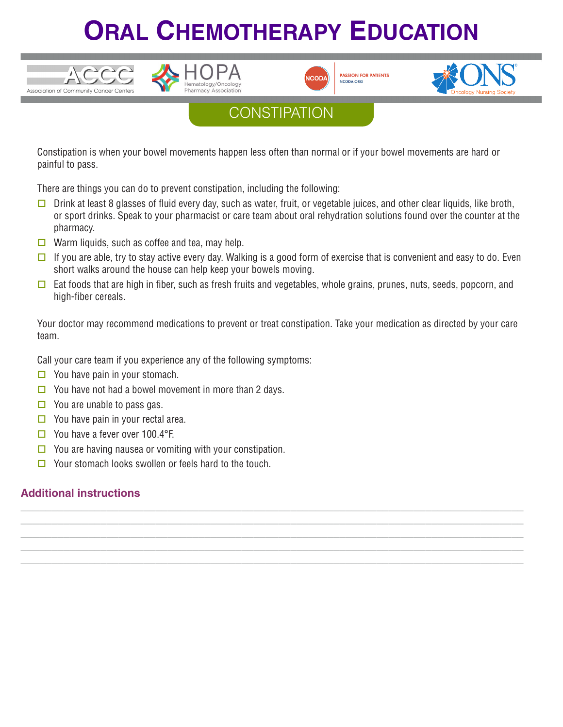## **ORAL CHEMOTHERAPY EDUCATION**





**PASSION FOR PATIENTS** NCODA, ORG





Constipation is when your bowel movements happen less often than normal or if your bowel movements are hard or painful to pass.

There are things you can do to prevent constipation, including the following:

- $\square$  Drink at least 8 glasses of fluid every day, such as water, fruit, or vegetable juices, and other clear liquids, like broth, or sport drinks. Speak to your pharmacist or care team about oral rehydration solutions found over the counter at the pharmacy.
- $\Box$  Warm liquids, such as coffee and tea, may help.
- $\Box$  If you are able, try to stay active every day. Walking is a good form of exercise that is convenient and easy to do. Even short walks around the house can help keep your bowels moving.
- $\Box$  Eat foods that are high in fiber, such as fresh fruits and vegetables, whole grains, prunes, nuts, seeds, popcorn, and high-fiber cereals.

Your doctor may recommend medications to prevent or treat constipation. Take your medication as directed by your care team.

**\_\_\_\_\_\_\_\_\_\_\_\_\_\_\_\_\_\_\_\_\_\_\_\_\_\_\_\_\_\_\_\_\_\_\_\_\_\_\_\_\_\_\_\_\_\_\_\_\_\_\_\_\_\_\_\_\_\_\_\_\_\_\_\_\_\_\_\_\_\_\_\_\_\_\_\_\_\_\_\_\_\_ \_\_\_\_\_\_\_\_\_\_\_\_\_\_\_\_\_\_\_\_\_\_\_\_\_\_\_\_\_\_\_\_\_\_\_\_\_\_\_\_\_\_\_\_\_\_\_\_\_\_\_\_\_\_\_\_\_\_\_\_\_\_\_\_\_\_\_\_\_\_\_\_\_\_\_\_\_\_\_\_\_\_ \_\_\_\_\_\_\_\_\_\_\_\_\_\_\_\_\_\_\_\_\_\_\_\_\_\_\_\_\_\_\_\_\_\_\_\_\_\_\_\_\_\_\_\_\_\_\_\_\_\_\_\_\_\_\_\_\_\_\_\_\_\_\_\_\_\_\_\_\_\_\_\_\_\_\_\_\_\_\_\_\_\_ \_\_\_\_\_\_\_\_\_\_\_\_\_\_\_\_\_\_\_\_\_\_\_\_\_\_\_\_\_\_\_\_\_\_\_\_\_\_\_\_\_\_\_\_\_\_\_\_\_\_\_\_\_\_\_\_\_\_\_\_\_\_\_\_\_\_\_\_\_\_\_\_\_\_\_\_\_\_\_\_\_\_ \_\_\_\_\_\_\_\_\_\_\_\_\_\_\_\_\_\_\_\_\_\_\_\_\_\_\_\_\_\_\_\_\_\_\_\_\_\_\_\_\_\_\_\_\_\_\_\_\_\_\_\_\_\_\_\_\_\_\_\_\_\_\_\_\_\_\_\_\_\_\_\_\_\_\_\_\_\_\_\_\_\_**

Call your care team if you experience any of the following symptoms:

- $\Box$  You have pain in your stomach.
- $\Box$  You have not had a bowel movement in more than 2 days.
- $\Box$  You are unable to pass gas.

 $TCCC$ 

Association of Community Cancer Centers

- $\Box$  You have pain in your rectal area.
- $\Box$  You have a fever over 100.4°F.
- $\Box$  You are having nausea or vomiting with your constipation.
- $\Box$  Your stomach looks swollen or feels hard to the touch.

## **Additional instructions**